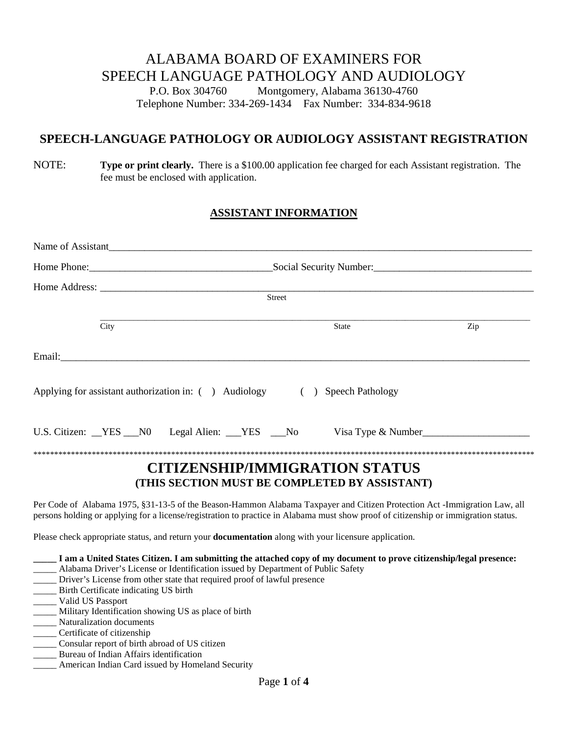# ALABAMA BOARD OF EXAMINERS FOR SPEECH LANGUAGE PATHOLOGY AND AUDIOLOGY

P.O. Box 304760 Montgomery, Alabama 36130-4760 Telephone Number: 334-269-1434 Fax Number: 334-834-9618

# **SPEECH-LANGUAGE PATHOLOGY OR AUDIOLOGY ASSISTANT REGISTRATION**

## NOTE: **Type or print clearly.** There is a \$100.00 application fee charged for each Assistant registration. The fee must be enclosed with application.

# **ASSISTANT INFORMATION**

|      |  |               | Name of Assistant                                                                                                                                                                                                                                                |     |  |  |  |
|------|--|---------------|------------------------------------------------------------------------------------------------------------------------------------------------------------------------------------------------------------------------------------------------------------------|-----|--|--|--|
|      |  |               |                                                                                                                                                                                                                                                                  |     |  |  |  |
|      |  |               |                                                                                                                                                                                                                                                                  |     |  |  |  |
|      |  | <b>Street</b> |                                                                                                                                                                                                                                                                  |     |  |  |  |
| City |  |               | State                                                                                                                                                                                                                                                            | Zip |  |  |  |
|      |  |               |                                                                                                                                                                                                                                                                  |     |  |  |  |
|      |  |               | Applying for assistant authorization in: ( ) Audiology ( ) Speech Pathology                                                                                                                                                                                      |     |  |  |  |
|      |  |               | U.S. Citizen: YES N0 Legal Alien: YES No Visa Type & Number                                                                                                                                                                                                      |     |  |  |  |
|      |  |               | <b>CITIZENSHIP/IMMIGRATION STATUS</b><br>(THIS SECTION MUST BE COMPLETED BY ASSISTANT)                                                                                                                                                                           |     |  |  |  |
|      |  |               | Per Code of Alabama 1975, §31-13-5 of the Beason-Hammon Alabama Taxpayer and Citizen Protection Act -Immigration Law, all<br>persons holding or applying for a license/registration to practice in Alabama must show proof of citizenship or immigration status. |     |  |  |  |

Please check appropriate status, and return your **documentation** along with your licensure application.

**\_\_\_\_\_ I am a United States Citizen. I am submitting the attached copy of my document to prove citizenship/legal presence:**

- \_\_\_\_\_ Alabama Driver's License or Identification issued by Department of Public Safety
- \_\_\_\_\_ Driver's License from other state that required proof of lawful presence
- \_\_\_\_\_ Birth Certificate indicating US birth
- \_\_\_\_\_ Valid US Passport
- \_\_\_\_\_ Military Identification showing US as place of birth
- \_\_\_\_\_ Naturalization documents
- \_\_\_\_\_ Certificate of citizenship
- \_\_\_\_\_ Consular report of birth abroad of US citizen
- \_\_\_\_\_ Bureau of Indian Affairs identification
- American Indian Card issued by Homeland Security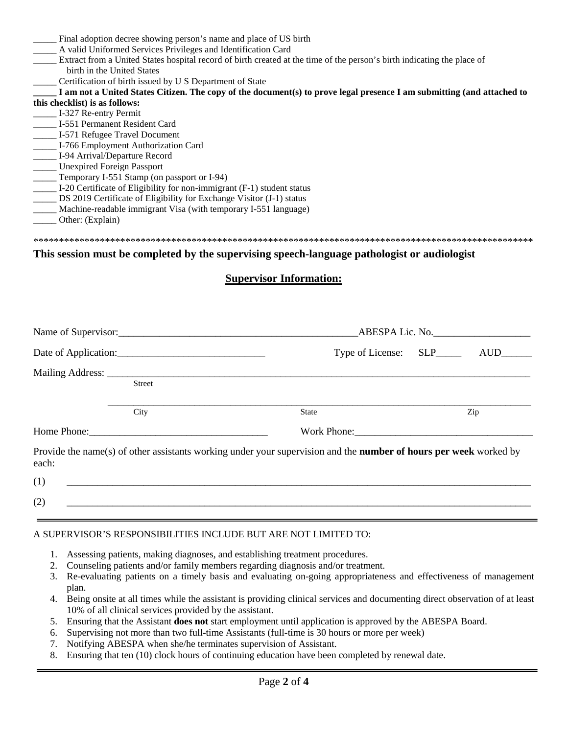Final adoption decree showing person's name and place of US birth \_\_\_\_\_ A valid Uniformed Services Privileges and Identification Card \_\_\_\_\_ Extract from a United States hospital record of birth created at the time of the person's birth indicating the place of birth in the United States Certification of birth issued by U S Department of State **\_\_\_\_\_ I am not a United States Citizen. The copy of the document(s) to prove legal presence I am submitting (and attached to this checklist) is as follows:** \_\_\_\_\_ I-327 Re-entry Permit \_\_\_\_\_ I-551 Permanent Resident Card \_\_\_\_\_ I-571 Refugee Travel Document \_\_\_\_\_ I-766 Employment Authorization Card \_\_\_\_\_ I-94 Arrival/Departure Record \_\_\_\_\_ Unexpired Foreign Passport \_\_\_\_\_ Temporary I-551 Stamp (on passport or I-94) \_\_\_\_\_ I-20 Certificate of Eligibility for non-immigrant (F-1) student status \_\_\_\_\_ DS 2019 Certificate of Eligibility for Exchange Visitor (J-1) status \_\_\_\_\_ Machine-readable immigrant Visa (with temporary I-551 language) Other: (Explain)

#### \*\*\*\*\*\*\*\*\*\*\*\*\*\*\*\*\*\*\*\*\*\*\*\*\*\*\*\*\*\*\*\*\*\*\*\*\*\*\*\*\*\*\*\*\*\*\*\*\*\*\*\*\*\*\*\*\*\*\*\*\*\*\*\*\*\*\*\*\*\*\*\*\*\*\*\*\*\*\*\*\*\*\*\*\*\*\*\*\*\*\*\*\*\*\*\*\*\*

### **This session must be completed by the supervising speech-language pathologist or audiologist**

### **Supervisor Information:**

|       |                      |                                                                                                                          | ABESPA Lic. No.  |  |  |  |  |
|-------|----------------------|--------------------------------------------------------------------------------------------------------------------------|------------------|--|--|--|--|
|       | Date of Application: | Type of License: SLP_____                                                                                                |                  |  |  |  |  |
|       | <b>Street</b>        |                                                                                                                          |                  |  |  |  |  |
|       | City                 | State                                                                                                                    | Zip              |  |  |  |  |
|       |                      |                                                                                                                          | Work Phone: 2008 |  |  |  |  |
| each: |                      | Provide the name(s) of other assistants working under your supervision and the <b>number of hours per week</b> worked by |                  |  |  |  |  |
| (1)   |                      |                                                                                                                          |                  |  |  |  |  |
| (2)   |                      |                                                                                                                          |                  |  |  |  |  |

### A SUPERVISOR'S RESPONSIBILITIES INCLUDE BUT ARE NOT LIMITED TO:

- 1. Assessing patients, making diagnoses, and establishing treatment procedures.
- 2. Counseling patients and/or family members regarding diagnosis and/or treatment.
- 3. Re-evaluating patients on a timely basis and evaluating on-going appropriateness and effectiveness of management plan.
- 4. Being onsite at all times while the assistant is providing clinical services and documenting direct observation of at least 10% of all clinical services provided by the assistant.
- 5. Ensuring that the Assistant **does not** start employment until application is approved by the ABESPA Board.
- 6. Supervising not more than two full-time Assistants (full-time is 30 hours or more per week)
- 7. Notifying ABESPA when she/he terminates supervision of Assistant.
- 8. Ensuring that ten (10) clock hours of continuing education have been completed by renewal date.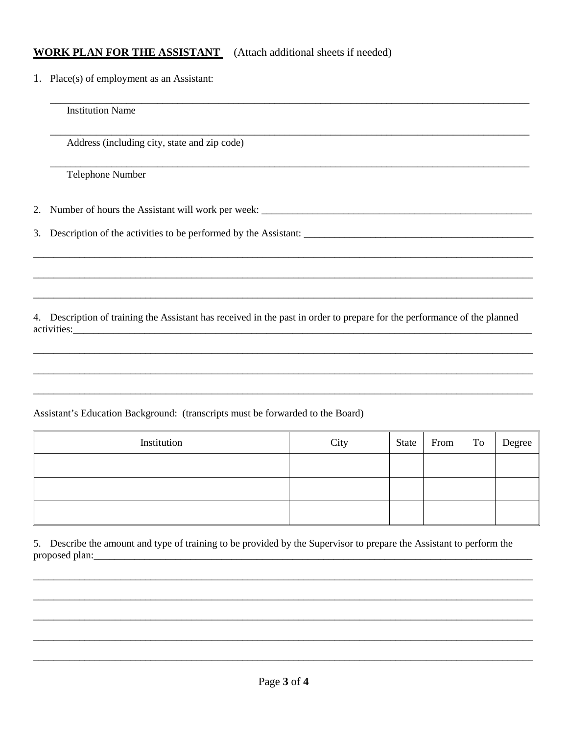# **WORK PLAN FOR THE ASSISTANT** (Attach additional sheets if needed)

1. Place(s) of employment as an Assistant:

**Institution Name** Address (including city, state and zip code) Telephone Number Number of hours the Assistant will work per week: \_\_\_\_\_\_\_\_\_\_\_\_\_\_\_\_\_\_\_\_\_\_\_\_\_\_\_\_\_\_\_ 2. 3. 4. Description of training the Assistant has received in the past in order to prepare for the performance of the planned Assistant's Education Background: (transcripts must be forwarded to the Board)

| Institution | City | State From To | Degree |
|-------------|------|---------------|--------|
|             |      |               |        |
|             |      |               |        |
|             |      |               |        |

5. Describe the amount and type of training to be provided by the Supervisor to prepare the Assistant to perform the proposed plan: